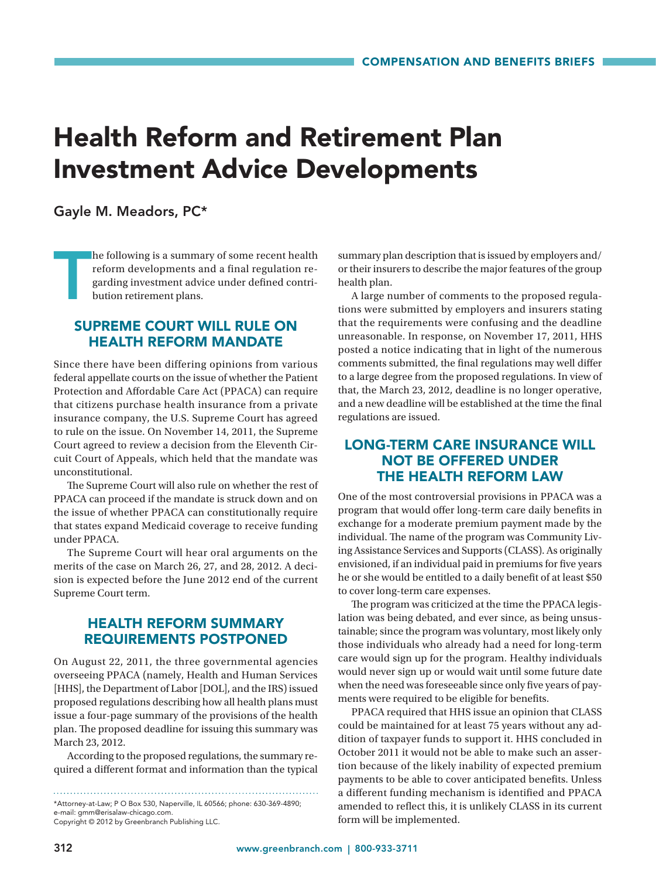# Health Reform and Retirement Plan Investment Advice Developments

#### Gayle M. Meadors, PC\*

T he following is a summary of some recent health reform developments and a final regulation regarding investment advice under defined contribution retirement plans.

#### SUPREME COURT WILL RULE ON HEALTH REFORM MANDATE

Since there have been differing opinions from various federal appellate courts on the issue of whether the Patient Protection and Affordable Care Act (PPACA) can require that citizens purchase health insurance from a private insurance company, the U.S. Supreme Court has agreed to rule on the issue. On November 14, 2011, the Supreme Court agreed to review a decision from the Eleventh Circuit Court of Appeals, which held that the mandate was unconstitutional.

The Supreme Court will also rule on whether the rest of PPACA can proceed if the mandate is struck down and on the issue of whether PPACA can constitutionally require that states expand Medicaid coverage to receive funding under PPACA.

The Supreme Court will hear oral arguments on the merits of the case on March 26, 27, and 28, 2012. A decision is expected before the June 2012 end of the current Supreme Court term.

## HEALTH REFORM SUMMARY REQUIREMENTS POSTPONED

On August 22, 2011, the three governmental agencies overseeing PPACA (namely, Health and Human Services [HHS], the Department of Labor [DOL], and the IRS) issued proposed regulations describing how all health plans must issue a four-page summary of the provisions of the health plan. The proposed deadline for issuing this summary was March 23, 2012.

According to the proposed regulations, the summary required a different format and information than the typical

Copyright © 2012 by Greenbranch Publishing LLC.

summary plan description that is issued by employers and/ or their insurers to describe the major features of the group health plan.

A large number of comments to the proposed regulations were submitted by employers and insurers stating that the requirements were confusing and the deadline unreasonable. In response, on November 17, 2011, HHS posted a notice indicating that in light of the numerous comments submitted, the final regulations may well differ to a large degree from the proposed regulations. In view of that, the March 23, 2012, deadline is no longer operative, and a new deadline will be established at the time the final regulations are issued.

## LONG-TERM CARE INSURANCE WILL NOT BE OFFERED UNDER THE HEALTH REFORM LAW

One of the most controversial provisions in PPACA was a program that would offer long-term care daily benefits in exchange for a moderate premium payment made by the individual. The name of the program was Community Living Assistance Services and Supports (CLASS). As originally envisioned, if an individual paid in premiums for five years he or she would be entitled to a daily benefit of at least \$50 to cover long-term care expenses.

The program was criticized at the time the PPACA legislation was being debated, and ever since, as being unsustainable; since the program was voluntary, most likely only those individuals who already had a need for long-term care would sign up for the program. Healthy individuals would never sign up or would wait until some future date when the need was foreseeable since only five years of payments were required to be eligible for benefits.

PPACA required that HHS issue an opinion that CLASS could be maintained for at least 75 years without any addition of taxpayer funds to support it. HHS concluded in October 2011 it would not be able to make such an assertion because of the likely inability of expected premium payments to be able to cover anticipated benefits. Unless a different funding mechanism is identified and PPACA amended to reflect this, it is unlikely CLASS in its current form will be implemented.

<sup>\*</sup>Attorney-at-Law; P O Box 530, Naperville, IL 60566; phone: 630-369-4890; e-mail: gmm@erisalaw-chicago.com.